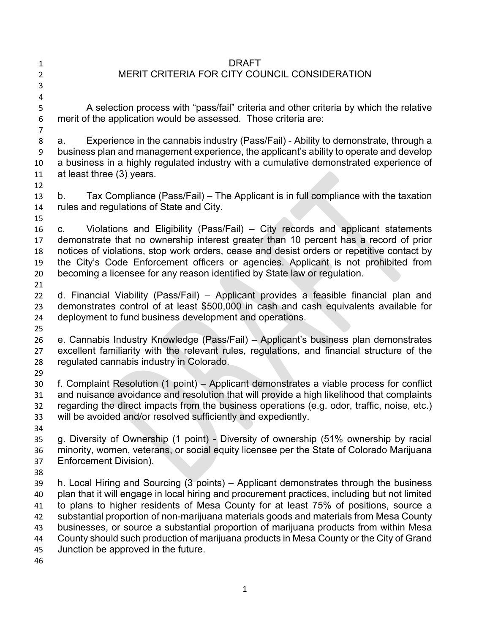| 1 | DRAFT                                                                                     |
|---|-------------------------------------------------------------------------------------------|
|   |                                                                                           |
| 2 | MERIT CRITERIA FOR CITY COUNCIL CONSIDERATION                                             |
| 3 |                                                                                           |
| 4 |                                                                                           |
| 5 | A selection process with "pass/fail" criteria and other criteria by which the relative    |
| 6 | merit of the application would be assessed. Those criteria are:                           |
|   |                                                                                           |
| 8 | Experience in the cannabis industry (Pass/Fail) - Ability to demonstrate, through a<br>а. |

 a. Experience in the cannabis industry (Pass/Fail) - Ability to demonstrate, through a business plan and management experience, the applicant's ability to operate and develop a business in a highly regulated industry with a cumulative demonstrated experience of at least three (3) years.

 b. Tax Compliance (Pass/Fail) – The Applicant is in full compliance with the taxation rules and regulations of State and City.

 c. Violations and Eligibility (Pass/Fail) – City records and applicant statements demonstrate that no ownership interest greater than 10 percent has a record of prior notices of violations, stop work orders, cease and desist orders or repetitive contact by the City's Code Enforcement officers or agencies. Applicant is not prohibited from becoming a licensee for any reason identified by State law or regulation.

 d. Financial Viability (Pass/Fail) – Applicant provides a feasible financial plan and demonstrates control of at least \$500,000 in cash and cash equivalents available for deployment to fund business development and operations.

 e. Cannabis Industry Knowledge (Pass/Fail) – Applicant's business plan demonstrates excellent familiarity with the relevant rules, regulations, and financial structure of the regulated cannabis industry in Colorado.

 f. Complaint Resolution (1 point) – Applicant demonstrates a viable process for conflict and nuisance avoidance and resolution that will provide a high likelihood that complaints regarding the direct impacts from the business operations (e.g. odor, traffic, noise, etc.) will be avoided and/or resolved sufficiently and expediently.

 g. Diversity of Ownership (1 point) - Diversity of ownership (51% ownership by racial minority, women, veterans, or social equity licensee per the State of Colorado Marijuana Enforcement Division).

 h. Local Hiring and Sourcing (3 points) – Applicant demonstrates through the business plan that it will engage in local hiring and procurement practices, including but not limited to plans to higher residents of Mesa County for at least 75% of positions, source a substantial proportion of non-marijuana materials goods and materials from Mesa County businesses, or source a substantial proportion of marijuana products from within Mesa County should such production of marijuana products in Mesa County or the City of Grand Junction be approved in the future.